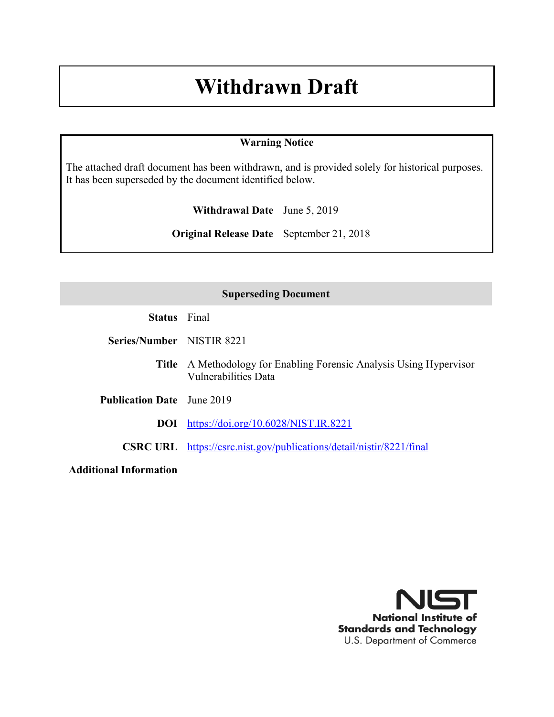# **Withdrawn Draft**

# **Warning Notice**

The attached draft document has been withdrawn, and is provided solely for historical purposes. It has been superseded by the document identified below.

**Withdrawal Date** June 5, 2019

**Original Release Date** September 21, 2018

# **Superseding Document**

**Status** Final

**Series/Number** NISTIR 8221

**Title** A Methodology for Enabling Forensic Analysis Using Hypervisor Vulnerabilities Data

**Publication Date** June 2019

**DOI** <https://doi.org/10.6028/NIST.IR.8221>

**CSRC URL** <https://csrc.nist.gov/publications/detail/nistir/8221/final>

**Additional Information**

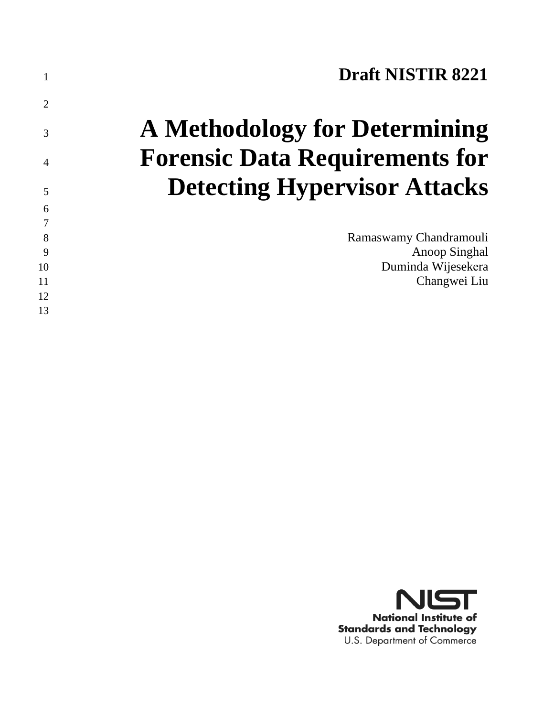|                | <b>Draft NISTIR 8221</b>              |
|----------------|---------------------------------------|
| $\overline{2}$ |                                       |
| 3              | <b>A Methodology for Determining</b>  |
| 4              | <b>Forensic Data Requirements for</b> |
| 5              | <b>Detecting Hypervisor Attacks</b>   |
| 6              |                                       |
| 8              | Ramaswamy Chandramouli                |
| 9              | Anoop Singhal                         |
| 10             | Duminda Wijesekera                    |
| 11             | Changwei Liu                          |
| 12             |                                       |
| 13             |                                       |

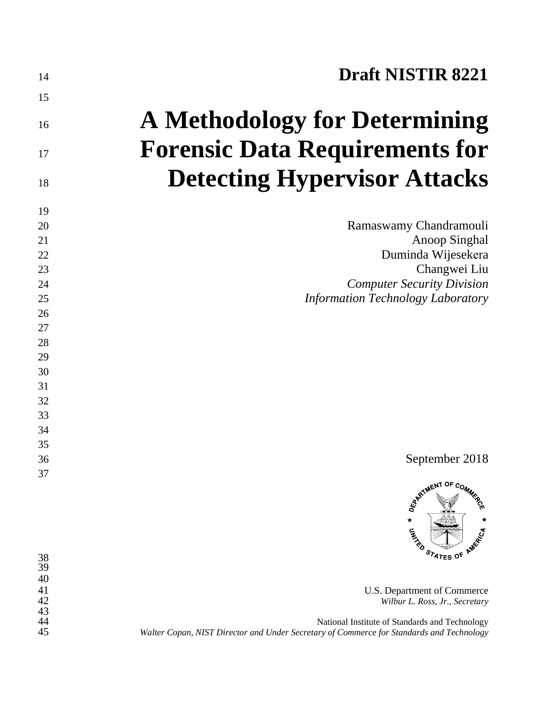| 14              | <b>Draft NISTIR 8221</b>                                                                                                                   |
|-----------------|--------------------------------------------------------------------------------------------------------------------------------------------|
| 15              |                                                                                                                                            |
| 16              | <b>A Methodology for Determining</b>                                                                                                       |
| 17              | <b>Forensic Data Requirements for</b>                                                                                                      |
| 18              | <b>Detecting Hypervisor Attacks</b>                                                                                                        |
| 19              |                                                                                                                                            |
| 20              | Ramaswamy Chandramouli                                                                                                                     |
| 21              | <b>Anoop Singhal</b>                                                                                                                       |
| 22              | Duminda Wijesekera                                                                                                                         |
| 23              | Changwei Liu                                                                                                                               |
| 24              | <b>Computer Security Division</b>                                                                                                          |
| 25              | <b>Information Technology Laboratory</b>                                                                                                   |
| 26              |                                                                                                                                            |
| 27              |                                                                                                                                            |
| 28              |                                                                                                                                            |
| 29              |                                                                                                                                            |
| 30              |                                                                                                                                            |
| 31              |                                                                                                                                            |
| 32              |                                                                                                                                            |
| 33              |                                                                                                                                            |
| 34              |                                                                                                                                            |
| 35              |                                                                                                                                            |
| 36              | September 2018                                                                                                                             |
| 37              |                                                                                                                                            |
| $\frac{38}{39}$ | ARTIMENT OF COMM.<br>$\star$<br>AMERICA<br><b>UNITED</b><br>STATES OF                                                                      |
| 40              |                                                                                                                                            |
| 41<br>42        | U.S. Department of Commerce<br>Wilbur L. Ross, Jr., Secretary                                                                              |
| 43              |                                                                                                                                            |
| 44<br>45        | National Institute of Standards and Technology<br>Walter Copan, NIST Director and Under Secretary of Commerce for Standards and Technology |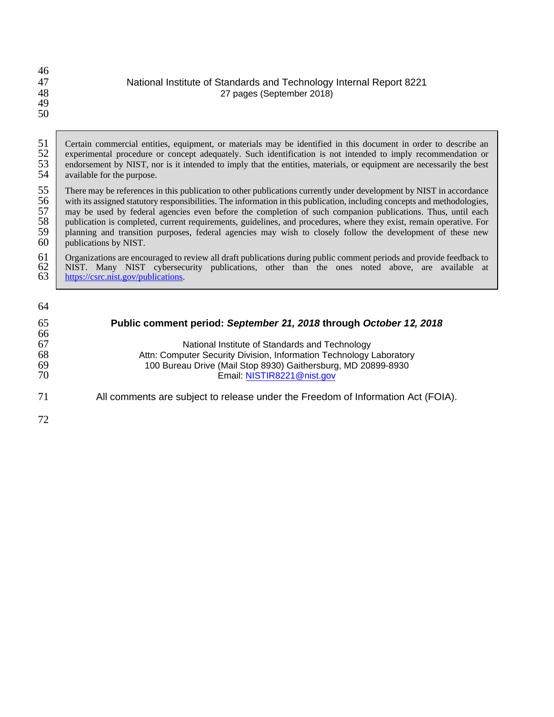| 46<br>47<br>48<br>49<br>50 | National Institute of Standards and Technology Internal Report 8221<br>27 pages (September 2018)              |
|----------------------------|---------------------------------------------------------------------------------------------------------------|
| 51                         | Contain against all cultive continued on materials may be identified in this decument in ander to describe an |

51 Certain commercial entities, equipment, or materials may be identified in this document in order to describe an <br>52 experimental procedure or concept adequately. Such identification is not intended to imply recommendati 52 experimental procedure or concept adequately. Such identification is not intended to imply recommendation or<br>53 endorsement by NIST, nor is it intended to imply that the entities, materials, or equipment are necessarily 53 endorsement by NIST, nor is it intended to imply that the entities, materials, or equipment are necessarily the best available for the purpose. available for the purpose.

55 There may be references in this publication to other publications currently under development by NIST in accordance<br>56 with its assigned statutory responsibilities. The information in this publication, including concept 56 with its assigned statutory responsibilities. The information in this publication, including concepts and methodologies,<br>57 may be used by federal agencies even before the completion of such companion publications. Thus 57 may be used by federal agencies even before the completion of such companion publications. Thus, until each publication is completed, current requirements, guidelines, and procedures, where they exist, remain operative. 58 publication is completed, current requirements, guidelines, and procedures, where they exist, remain operative. For 59 planning and transition purposes, federal agencies may wish to closely follow the development of these new publications by NIST. publications by NIST.

61 Organizations are encouraged to review all draft publications during public comment periods and provide feedback to NIST. Many NIST cybersecurity publications, other than the ones noted above, are available at  $\frac{https://csrc$ 62 NIST. Many NIST cybersecurity publications, other than the ones noted above, are available at 63 [https://csrc.nist.gov/publications.](https://csrc.nist.gov/publications)

| 64       |                                                                                  |
|----------|----------------------------------------------------------------------------------|
| 65<br>66 | Public comment period: September 21, 2018 through October 12, 2018               |
| 67       | National Institute of Standards and Technology                                   |
| 68       | Attn: Computer Security Division, Information Technology Laboratory              |
| 69       | 100 Bureau Drive (Mail Stop 8930) Gaithersburg, MD 20899-8930                    |
| 70       | Email: NISTIR8221@nist.gov                                                       |
| 71       | All comments are subject to release under the Freedom of Information Act (FOIA). |
| 72       |                                                                                  |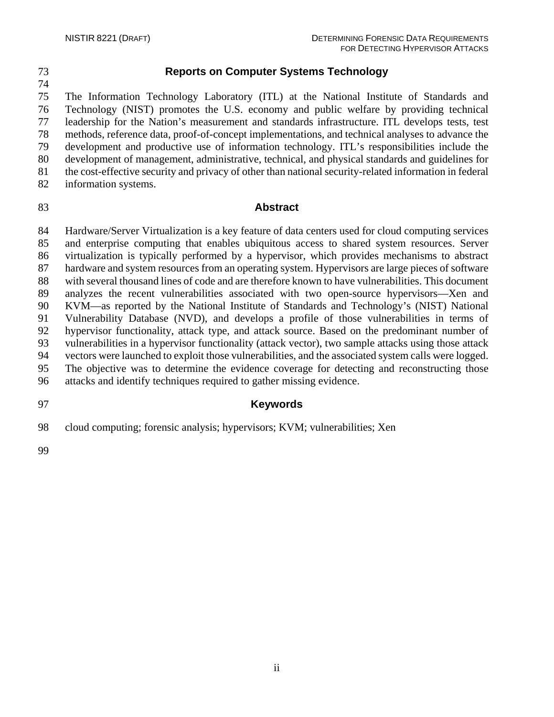# 73 **Reports on Computer Systems Technology**

75 The Information Technology Laboratory (ITL) at the National Institute of Standards and 76 Technology (NIST) promotes the U.S. economy and public welfare by providing technical 77 leadership for the Nation's measurement and standards infrastructure. ITL develops tests, test 78 methods, reference data, proof-of-concept implementations, and technical analyses to advance the 79 development and productive use of information technology. ITL's responsibilities include the 80 development of management, administrative, technical, and physical standards and guidelines for 81 the cost-effective security and privacy of other than national security-related information in federal 82 information systems.

# 83 **Abstract**

84 Hardware/Server Virtualization is a key feature of data centers used for cloud computing services 85 and enterprise computing that enables ubiquitous access to shared system resources. Server 86 virtualization is typically performed by a hypervisor, which provides mechanisms to abstract 87 hardware and system resources from an operating system. Hypervisors are large pieces of software 88 with several thousand lines of code and are therefore known to have vulnerabilities. This document 89 analyzes the recent vulnerabilities associated with two open-source hypervisors—Xen and 90 KVM—as reported by the National Institute of Standards and Technology's (NIST) National 91 Vulnerability Database (NVD), and develops a profile of those vulnerabilities in terms of 92 hypervisor functionality, attack type, and attack source. Based on the predominant number of 93 vulnerabilities in a hypervisor functionality (attack vector), two sample attacks using those attack 94 vectors were launched to exploit those vulnerabilities, and the associated system calls were logged. 95 The objective was to determine the evidence coverage for detecting and reconstructing those 96 attacks and identify techniques required to gather missing evidence.

# 97 **Keywords**

98 cloud computing; forensic analysis; hypervisors; KVM; vulnerabilities; Xen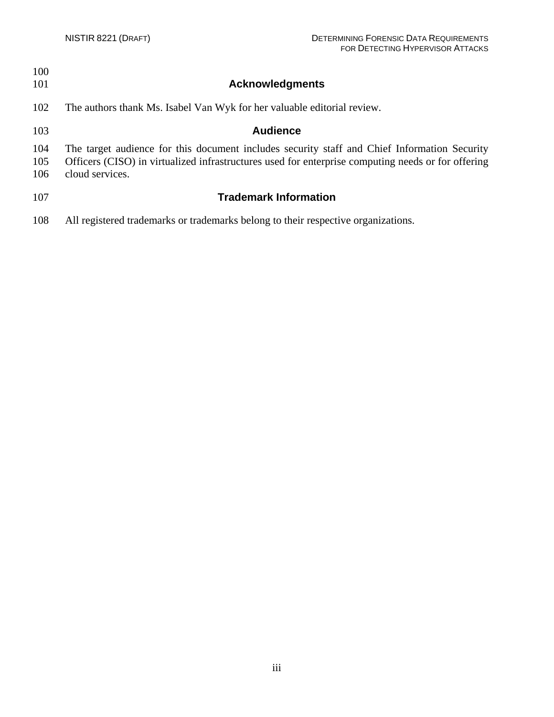| 100<br>101        | <b>Acknowledgments</b>                                                                                                                                                                                                |
|-------------------|-----------------------------------------------------------------------------------------------------------------------------------------------------------------------------------------------------------------------|
| 102               | The authors thank Ms. Isabel Van Wyk for her valuable editorial review.                                                                                                                                               |
| 103               | <b>Audience</b>                                                                                                                                                                                                       |
| 104<br>105<br>106 | The target audience for this document includes security staff and Chief Information Security<br>Officers (CISO) in virtualized infrastructures used for enterprise computing needs or for offering<br>cloud services. |
| 107               | <b>Trademark Information</b>                                                                                                                                                                                          |
| 108               | All registered trademarks or trademarks belong to their respective organizations.                                                                                                                                     |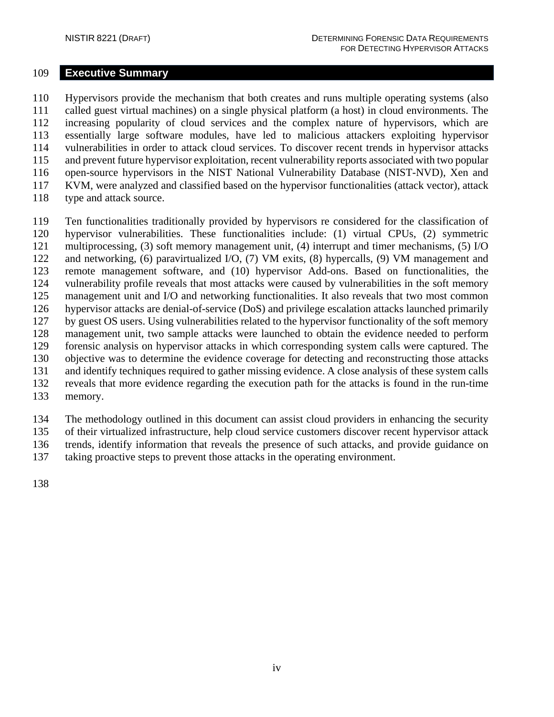#### <span id="page-6-0"></span>109 **Executive Summary**

110 Hypervisors provide the mechanism that both creates and runs multiple operating systems (also 111 called guest virtual machines) on a single physical platform (a host) in cloud environments. The 112 increasing popularity of cloud services and the complex nature of hypervisors, which are 113 essentially large software modules, have led to malicious attackers exploiting hypervisor 114 vulnerabilities in order to attack cloud services. To discover recent trends in hypervisor attacks 115 and prevent future hypervisor exploitation, recent vulnerability reports associated with two popular 116 open-source hypervisors in the NIST National Vulnerability Database (NIST-NVD), Xen and 117 KVM, were analyzed and classified based on the hypervisor functionalities (attack vector), attack 118 type and attack source.

- 119 Ten functionalities traditionally provided by hypervisors re considered for the classification of 120 hypervisor vulnerabilities. These functionalities include: (1) virtual CPUs, (2) symmetric 121 multiprocessing, (3) soft memory management unit, (4) interrupt and timer mechanisms, (5) I/O 122 and networking, (6) paravirtualized I/O, (7) VM exits, (8) hypercalls, (9) VM management and 123 remote management software, and (10) hypervisor Add-ons. Based on functionalities, the 124 vulnerability profile reveals that most attacks were caused by vulnerabilities in the soft memory 125 management unit and I/O and networking functionalities. It also reveals that two most common 126 hypervisor attacks are denial-of-service (DoS) and privilege escalation attacks launched primarily 127 by guest OS users. Using vulnerabilities related to the hypervisor functionality of the soft memory 128 management unit, two sample attacks were launched to obtain the evidence needed to perform 129 forensic analysis on hypervisor attacks in which corresponding system calls were captured. The 130 objective was to determine the evidence coverage for detecting and reconstructing those attacks 131 and identify techniques required to gather missing evidence. A close analysis of these system calls 132 reveals that more evidence regarding the execution path for the attacks is found in the run-time
- 133 memory.

134 The methodology outlined in this document can assist cloud providers in enhancing the security 135 of their virtualized infrastructure, help cloud service customers discover recent hypervisor attack 136 trends, identify information that reveals the presence of such attacks, and provide guidance on

137 taking proactive steps to prevent those attacks in the operating environment.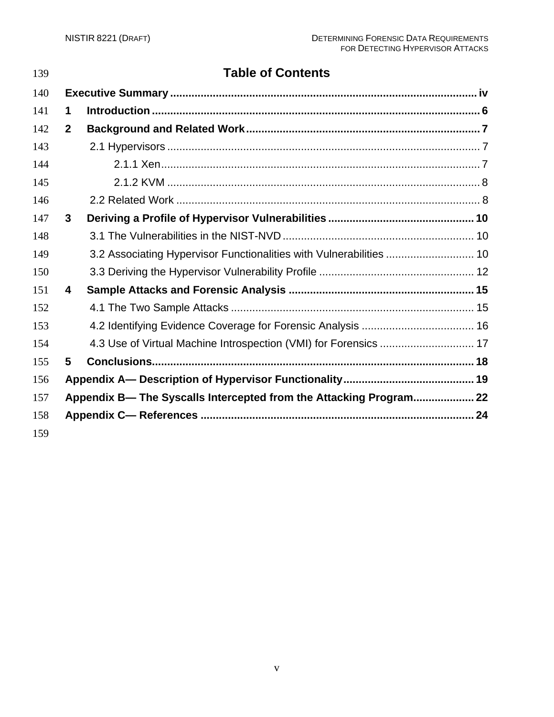| 139 | <b>Table of Contents</b> |                                                                     |  |
|-----|--------------------------|---------------------------------------------------------------------|--|
| 140 |                          |                                                                     |  |
| 141 | 1                        |                                                                     |  |
| 142 | $\mathbf{2}$             |                                                                     |  |
| 143 |                          |                                                                     |  |
| 144 |                          |                                                                     |  |
| 145 |                          |                                                                     |  |
| 146 |                          |                                                                     |  |
| 147 | 3                        |                                                                     |  |
| 148 |                          |                                                                     |  |
| 149 |                          | 3.2 Associating Hypervisor Functionalities with Vulnerabilities  10 |  |
| 150 |                          |                                                                     |  |
| 151 | 4                        |                                                                     |  |
| 152 |                          |                                                                     |  |
| 153 |                          |                                                                     |  |
| 154 |                          | 4.3 Use of Virtual Machine Introspection (VMI) for Forensics  17    |  |
| 155 | 5                        |                                                                     |  |
| 156 |                          |                                                                     |  |
| 157 |                          | Appendix B- The Syscalls Intercepted from the Attacking Program 22  |  |
| 158 |                          |                                                                     |  |
| 159 |                          |                                                                     |  |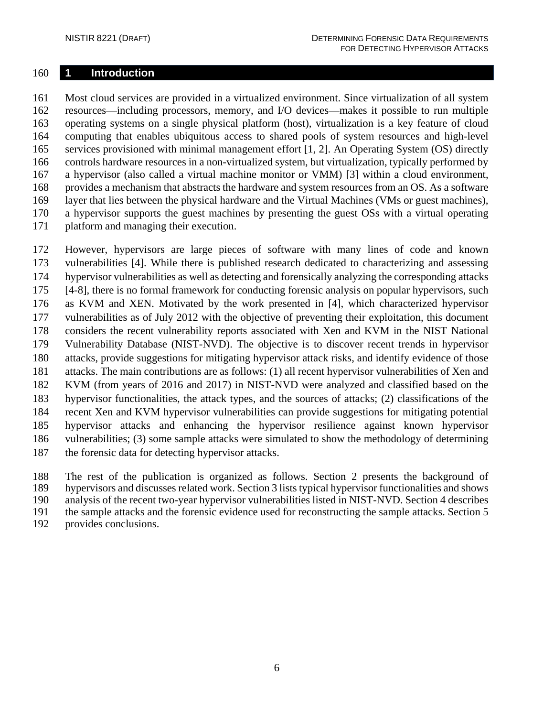#### <span id="page-8-0"></span>**1 Introduction**

 Most cloud services are provided in a virtualized environment. Since virtualization of all system resources—including processors, memory, and I/O devices—makes it possible to run multiple operating systems on a single physical platform (host), virtualization is a key feature of cloud computing that enables ubiquitous access to shared pools of system resources and high-level services provisioned with minimal management effort [1, 2]. An Operating System (OS) directly controls hardware resources in a non-virtualized system, but virtualization, typically performed by a hypervisor (also called a virtual machine monitor or VMM) [3] within a cloud environment, provides a mechanism that abstracts the hardware and system resources from an OS. As a software layer that lies between the physical hardware and the Virtual Machines (VMs or guest machines), a hypervisor supports the guest machines by presenting the guest OSs with a virtual operating platform and managing their execution.

 However, hypervisors are large pieces of software with many lines of code and known vulnerabilities [4]. While there is published research dedicated to characterizing and assessing hypervisor vulnerabilities as well as detecting and forensically analyzing the corresponding attacks [4-8], there is no formal framework for conducting forensic analysis on popular hypervisors, such as KVM and XEN. Motivated by the work presented in [4], which characterized hypervisor vulnerabilities as of July 2012 with the objective of preventing their exploitation, this document considers the recent vulnerability reports associated with Xen and KVM in the NIST National Vulnerability Database (NIST-NVD). The objective is to discover recent trends in hypervisor attacks, provide suggestions for mitigating hypervisor attack risks, and identify evidence of those attacks. The main contributions are as follows: (1) all recent hypervisor vulnerabilities of Xen and KVM (from years of 2016 and 2017) in NIST-NVD were analyzed and classified based on the hypervisor functionalities, the attack types, and the sources of attacks; (2) classifications of the recent Xen and KVM hypervisor vulnerabilities can provide suggestions for mitigating potential hypervisor attacks and enhancing the hypervisor resilience against known hypervisor vulnerabilities; (3) some sample attacks were simulated to show the methodology of determining the forensic data for detecting hypervisor attacks.

 The rest of the publication is organized as follows. Section 2 presents the background of hypervisors and discusses related work. Section 3 lists typical hypervisor functionalities and shows analysis of the recent two-year hypervisor vulnerabilities listed in NIST-NVD. Section 4 describes the sample attacks and the forensic evidence used for reconstructing the sample attacks. Section 5

provides conclusions.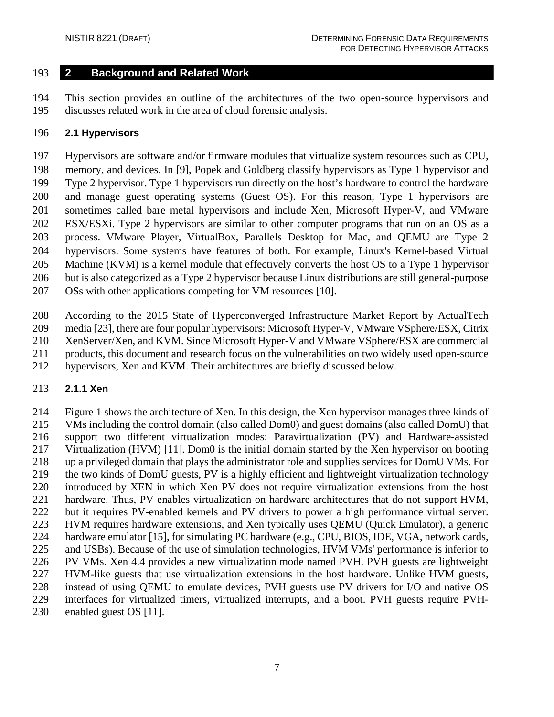### <span id="page-9-0"></span>**2 Background and Related Work**

 This section provides an outline of the architectures of the two open-source hypervisors and discusses related work in the area of cloud forensic analysis.

#### <span id="page-9-1"></span>**2.1 Hypervisors**

 Hypervisors are software and/or firmware modules that virtualize system resources such as CPU, memory, and devices. In [9], Popek and Goldberg classify hypervisors as Type 1 hypervisor and Type 2 hypervisor. Type 1 hypervisors run directly on the host's hardware to control the hardware and manage guest operating systems (Guest OS). For this reason, Type 1 hypervisors are sometimes called bare metal hypervisors and include Xen, Microsoft Hyper-V, and VMware ESX/ESXi. Type 2 hypervisors are similar to other computer programs that run on an OS as a process. VMware Player, VirtualBox, Parallels Desktop for Mac, and QEMU are Type 2 hypervisors. Some systems have features of both. For example, Linux's Kernel-based Virtual Machine (KVM) is a kernel module that effectively converts the host OS to a Type 1 hypervisor but is also categorized as a Type 2 hypervisor because Linux distributions are still general-purpose

OSs with other applications competing for VM resources [10].

 According to the 2015 State of Hyperconverged Infrastructure Market Report by ActualTech media [23], there are four popular hypervisors: Microsoft Hyper-V, VMware VSphere/ESX, Citrix XenServer/Xen, and KVM. Since Microsoft Hyper-V and VMware VSphere/ESX are commercial products, this document and research focus on the vulnerabilities on two widely used open-source

hypervisors, Xen and KVM. Their architectures are briefly discussed below.

### <span id="page-9-2"></span>**2.1.1 Xen**

 Figure 1 shows the architecture of Xen. In this design, the Xen hypervisor manages three kinds of VMs including the control domain (also called Dom0) and guest domains (also called DomU) that support two different virtualization modes: Paravirtualization (PV) and Hardware-assisted Virtualization (HVM) [11]. Dom0 is the initial domain started by the Xen hypervisor on booting up a privileged domain that plays the administrator role and supplies services for DomU VMs. For the two kinds of DomU guests, PV is a highly efficient and lightweight virtualization technology introduced by XEN in which Xen PV does not require virtualization extensions from the host hardware. Thus, PV enables virtualization on hardware architectures that do not support HVM, but it requires PV-enabled kernels and PV drivers to power a high performance virtual server. HVM requires hardware extensions, and Xen typically uses QEMU (Quick Emulator), a generic hardware emulator [15], for simulating PC hardware (e.g., CPU, BIOS, IDE, VGA, network cards, and USBs). Because of the use of simulation technologies, HVM VMs' performance is inferior to PV VMs. Xen 4.4 provides a new virtualization mode named PVH. PVH guests are lightweight HVM-like guests that use virtualization extensions in the host hardware. Unlike HVM guests, instead of using QEMU to emulate devices, PVH guests use PV drivers for I/O and native OS interfaces for virtualized timers, virtualized interrupts, and a boot. PVH guests require PVH-enabled guest OS [11].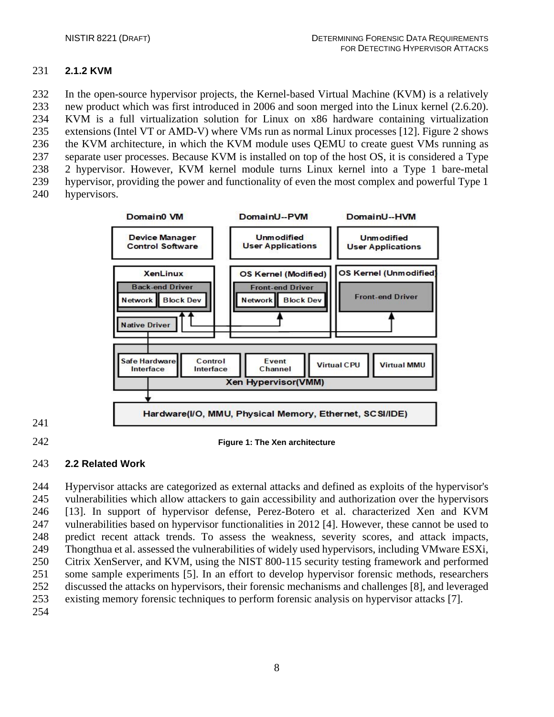# <span id="page-10-0"></span>**2.1.2 KVM**

 In the open-source hypervisor projects, the Kernel-based Virtual Machine (KVM) is a relatively new product which was first introduced in 2006 and soon merged into the Linux kernel (2.6.20). KVM is a full virtualization solution for Linux on x86 hardware containing virtualization extensions (Intel VT or AMD-V) where VMs run as normal Linux processes [12]. Figure 2 shows the KVM architecture, in which the KVM module uses QEMU to create guest VMs running as separate user processes. Because KVM is installed on top of the host OS, it is considered a Type 2 hypervisor. However, KVM kernel module turns Linux kernel into a Type 1 bare-metal hypervisor, providing the power and functionality of even the most complex and powerful Type 1 hypervisors.



- 
- **Figure 1: The Xen architecture**

### <span id="page-10-1"></span>**2.2 Related Work**

 Hypervisor attacks are categorized as external attacks and defined as exploits of the hypervisor's vulnerabilities which allow attackers to gain accessibility and authorization over the hypervisors [13]. In support of hypervisor defense, Perez-Botero et al. characterized Xen and KVM vulnerabilities based on hypervisor functionalities in 2012 [4]. However, these cannot be used to predict recent attack trends. To assess the weakness, severity scores, and attack impacts, Thongthua et al. assessed the vulnerabilities of widely used hypervisors, including VMware ESXi, Citrix XenServer, and KVM, using the NIST 800-115 security testing framework and performed some sample experiments [5]. In an effort to develop hypervisor forensic methods, researchers discussed the attacks on hypervisors, their forensic mechanisms and challenges [8], and leveraged existing memory forensic techniques to perform forensic analysis on hypervisor attacks [7].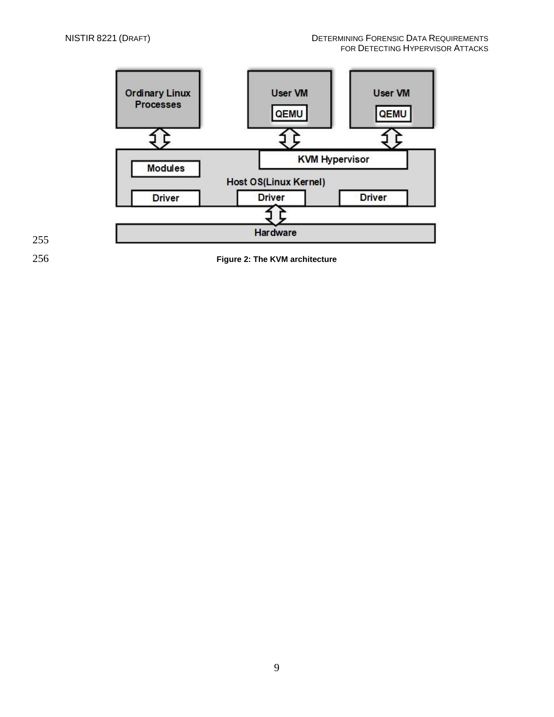

256 **Figure 2: The KVM architecture**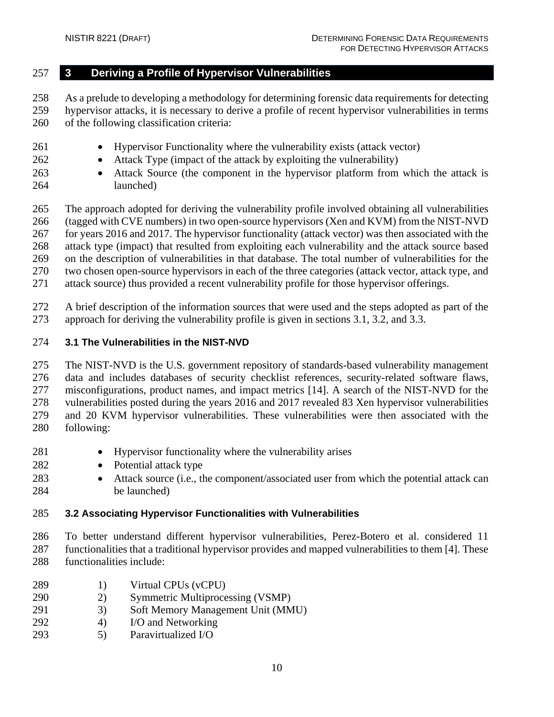# <span id="page-12-0"></span>**3 Deriving a Profile of Hypervisor Vulnerabilities**

 As a prelude to developing a methodology for determining forensic data requirements for detecting hypervisor attacks, it is necessary to derive a profile of recent hypervisor vulnerabilities in terms of the following classification criteria:

- Hypervisor Functionality where the vulnerability exists (attack vector)
- 262 Attack Type (impact of the attack by exploiting the vulnerability)
- Attack Source (the component in the hypervisor platform from which the attack is launched)

 The approach adopted for deriving the vulnerability profile involved obtaining all vulnerabilities (tagged with CVE numbers) in two open-source hypervisors (Xen and KVM) from the NIST-NVD for years 2016 and 2017. The hypervisor functionality (attack vector) was then associated with the attack type (impact) that resulted from exploiting each vulnerability and the attack source based on the description of vulnerabilities in that database. The total number of vulnerabilities for the two chosen open-source hypervisors in each of the three categories (attack vector, attack type, and attack source) thus provided a recent vulnerability profile for those hypervisor offerings.

 A brief description of the information sources that were used and the steps adopted as part of the approach for deriving the vulnerability profile is given in sections 3.1, 3.2, and 3.3.

# <span id="page-12-1"></span>**3.1 The Vulnerabilities in the NIST-NVD**

 The NIST-NVD is the U.S. government repository of standards-based vulnerability management data and includes databases of security checklist references, security-related software flaws, misconfigurations, product names, and impact metrics [14]. A search of the NIST-NVD for the vulnerabilities posted during the years 2016 and 2017 revealed 83 Xen hypervisor vulnerabilities and 20 KVM hypervisor vulnerabilities. These vulnerabilities were then associated with the following:

- 281 Hypervisor functionality where the vulnerability arises
- 282 Potential attack type
- Attack source (i.e., the component/associated user from which the potential attack can be launched)

### <span id="page-12-2"></span>**3.2 Associating Hypervisor Functionalities with Vulnerabilities**

 To better understand different hypervisor vulnerabilities, Perez-Botero et al. considered 11 functionalities that a traditional hypervisor provides and mapped vulnerabilities to them [4]. These functionalities include:

- 289 1) Virtual CPUs (vCPU)
- 2) Symmetric Multiprocessing (VSMP)
- 3) Soft Memory Management Unit (MMU)
- 4) I/O and Networking
- 5) Paravirtualized I/O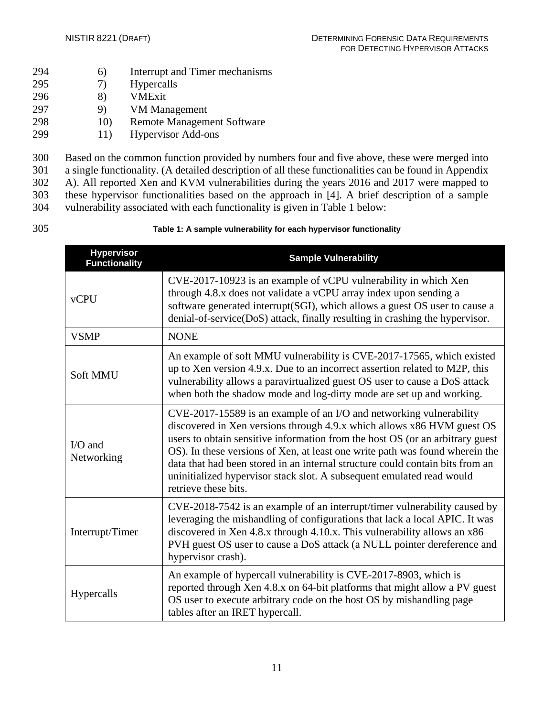- 294 6) Interrupt and Timer mechanisms
- 295 7) Hypercalls
- 296 8) VMExit
- 297 9) VM Management
- 298 10) Remote Management Software
- 299 11) Hypervisor Add-ons

 Based on the common function provided by numbers four and five above, these were merged into a single functionality. (A detailed description of all these functionalities can be found in Appendix A). All reported Xen and KVM vulnerabilities during the years 2016 and 2017 were mapped to these hypervisor functionalities based on the approach in [4]. A brief description of a sample vulnerability associated with each functionality is given in Table 1 below:

### 305 **Table 1: A sample vulnerability for each hypervisor functionality**

| <b>Hypervisor</b><br><b>Functionality</b> | <b>Sample Vulnerability</b>                                                                                                                                                                                                                                                                                                                                                                                                                                                                      |
|-------------------------------------------|--------------------------------------------------------------------------------------------------------------------------------------------------------------------------------------------------------------------------------------------------------------------------------------------------------------------------------------------------------------------------------------------------------------------------------------------------------------------------------------------------|
| <b>vCPU</b>                               | CVE-2017-10923 is an example of vCPU vulnerability in which Xen<br>through 4.8.x does not validate a vCPU array index upon sending a<br>software generated interrupt(SGI), which allows a guest OS user to cause a<br>denial-of-service(DoS) attack, finally resulting in crashing the hypervisor.                                                                                                                                                                                               |
| <b>VSMP</b>                               | <b>NONE</b>                                                                                                                                                                                                                                                                                                                                                                                                                                                                                      |
| <b>Soft MMU</b>                           | An example of soft MMU vulnerability is CVE-2017-17565, which existed<br>up to Xen version 4.9.x. Due to an incorrect assertion related to M2P, this<br>vulnerability allows a paravirtualized guest OS user to cause a DoS attack<br>when both the shadow mode and log-dirty mode are set up and working.                                                                                                                                                                                       |
| $I/O$ and<br>Networking                   | CVE-2017-15589 is an example of an I/O and networking vulnerability<br>discovered in Xen versions through 4.9.x which allows x86 HVM guest OS<br>users to obtain sensitive information from the host OS (or an arbitrary guest<br>OS). In these versions of Xen, at least one write path was found wherein the<br>data that had been stored in an internal structure could contain bits from an<br>uninitialized hypervisor stack slot. A subsequent emulated read would<br>retrieve these bits. |
| Interrupt/Timer                           | CVE-2018-7542 is an example of an interrupt/timer vulnerability caused by<br>leveraging the mishandling of configurations that lack a local APIC. It was<br>discovered in Xen 4.8.x through 4.10.x. This vulnerability allows an x86<br>PVH guest OS user to cause a DoS attack (a NULL pointer dereference and<br>hypervisor crash).                                                                                                                                                            |
| Hypercalls                                | An example of hypercall vulnerability is CVE-2017-8903, which is<br>reported through Xen 4.8.x on 64-bit platforms that might allow a PV guest<br>OS user to execute arbitrary code on the host OS by mishandling page<br>tables after an IRET hypercall.                                                                                                                                                                                                                                        |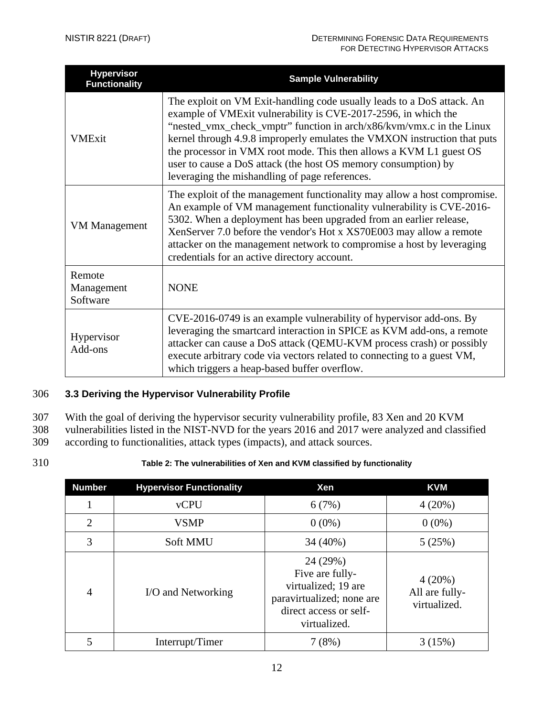| <b>Hypervisor</b><br><b>Functionality</b> | <b>Sample Vulnerability</b>                                                                                                                                                                                                                                                                                                                                                                                                                                                            |
|-------------------------------------------|----------------------------------------------------------------------------------------------------------------------------------------------------------------------------------------------------------------------------------------------------------------------------------------------------------------------------------------------------------------------------------------------------------------------------------------------------------------------------------------|
| <b>VMExit</b>                             | The exploit on VM Exit-handling code usually leads to a DoS attack. An<br>example of VMExit vulnerability is CVE-2017-2596, in which the<br>"nested_vmx_check_vmptr" function in arch/x86/kvm/vmx.c in the Linux<br>kernel through 4.9.8 improperly emulates the VMXON instruction that puts<br>the processor in VMX root mode. This then allows a KVM L1 guest OS<br>user to cause a DoS attack (the host OS memory consumption) by<br>leveraging the mishandling of page references. |
| <b>VM</b> Management                      | The exploit of the management functionality may allow a host compromise.<br>An example of VM management functionality vulnerability is CVE-2016-<br>5302. When a deployment has been upgraded from an earlier release,<br>XenServer 7.0 before the vendor's Hot x XS70E003 may allow a remote<br>attacker on the management network to compromise a host by leveraging<br>credentials for an active directory account.                                                                 |
| Remote<br>Management<br>Software          | <b>NONE</b>                                                                                                                                                                                                                                                                                                                                                                                                                                                                            |
| Hypervisor<br>Add-ons                     | CVE-2016-0749 is an example vulnerability of hypervisor add-ons. By<br>leveraging the smartcard interaction in SPICE as KVM add-ons, a remote<br>attacker can cause a DoS attack (QEMU-KVM process crash) or possibly<br>execute arbitrary code via vectors related to connecting to a guest VM,<br>which triggers a heap-based buffer overflow.                                                                                                                                       |

# <span id="page-14-0"></span>306 **3.3 Deriving the Hypervisor Vulnerability Profile**

307 With the goal of deriving the hypervisor security vulnerability profile, 83 Xen and 20 KVM<br>308 vulnerabilities listed in the NIST-NVD for the years 2016 and 2017 were analyzed and class:

- vulnerabilities listed in the NIST-NVD for the years 2016 and 2017 were analyzed and classified 309 according to functionalities, attack types (impacts), and attack sources.
- 
- 

# 310 **Table 2: The vulnerabilities of Xen and KVM classified by functionality**

| <b>Number</b>  | <b>Hypervisor Functionality</b> | Xen                                                                                                                       | <b>KVM</b>                               |
|----------------|---------------------------------|---------------------------------------------------------------------------------------------------------------------------|------------------------------------------|
|                | <b>vCPU</b>                     | 6(7%)                                                                                                                     | 4(20%)                                   |
| $\overline{2}$ | <b>VSMP</b>                     | $0(0\%)$                                                                                                                  | $0(0\%)$                                 |
| 3              | <b>Soft MMU</b>                 | 34 (40%)                                                                                                                  | 5(25%)                                   |
| 4              | I/O and Networking              | 24 (29%)<br>Five are fully-<br>virtualized; 19 are<br>paravirtualized; none are<br>direct access or self-<br>virtualized. | 4(20%)<br>All are fully-<br>virtualized. |
|                | Interrupt/Timer                 | 7(8%)                                                                                                                     | 3(15%)                                   |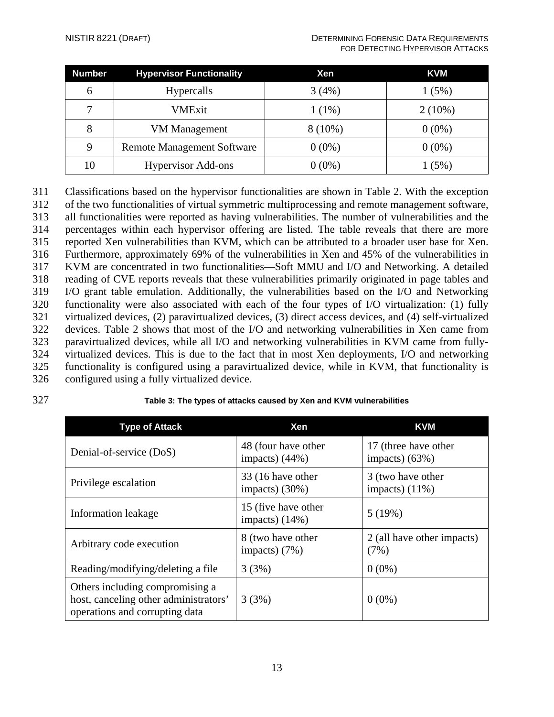| <b>Number</b> | <b>Hypervisor Functionality</b>   | <b>Xen</b> | <b>KVM</b> |
|---------------|-----------------------------------|------------|------------|
| 6             | <b>Hypercalls</b>                 | 3(4%)      | 1(5%)      |
| 7             | VMExit                            | $1(1\%)$   | $2(10\%)$  |
| 8             | <b>VM</b> Management              | $8(10\%)$  | $0(0\%)$   |
| 9             | <b>Remote Management Software</b> | $0(0\%)$   | $0(0\%)$   |
| 10            | <b>Hypervisor Add-ons</b>         | $0(0\%)$   | (5%)       |

 Classifications based on the hypervisor functionalities are shown in Table 2. With the exception of the two functionalities of virtual symmetric multiprocessing and remote management software, all functionalities were reported as having vulnerabilities. The number of vulnerabilities and the percentages within each hypervisor offering are listed. The table reveals that there are more reported Xen vulnerabilities than KVM, which can be attributed to a broader user base for Xen. Furthermore, approximately 69% of the vulnerabilities in Xen and 45% of the vulnerabilities in KVM are concentrated in two functionalities—Soft MMU and I/O and Networking. A detailed reading of CVE reports reveals that these vulnerabilities primarily originated in page tables and I/O grant table emulation. Additionally, the vulnerabilities based on the I/O and Networking functionality were also associated with each of the four types of I/O virtualization: (1) fully virtualized devices, (2) paravirtualized devices, (3) direct access devices, and (4) self-virtualized devices. Table 2 shows that most of the I/O and networking vulnerabilities in Xen came from paravirtualized devices, while all I/O and networking vulnerabilities in KVM came from fully- virtualized devices. This is due to the fact that in most Xen deployments, I/O and networking functionality is configured using a paravirtualized device, while in KVM, that functionality is configured using a fully virtualized device.

# 327 **Table 3: The types of attacks caused by Xen and KVM vulnerabilities**

| <b>Type of Attack</b>                                                                                      | Xen                                      | <b>KVM</b>                               |
|------------------------------------------------------------------------------------------------------------|------------------------------------------|------------------------------------------|
| Denial-of-service (DoS)                                                                                    | 48 (four have other<br>impacts) $(44\%)$ | 17 (three have other<br>impacts) $(63%)$ |
| Privilege escalation                                                                                       | 33 (16 have other<br>impacts) $(30\%)$   | 3 (two have other<br>impacts) $(11\%)$   |
| Information leakage                                                                                        | 15 (five have other<br>impacts) $(14%)$  | 5(19%)                                   |
| Arbitrary code execution                                                                                   | 8 (two have other<br>impacts) $(7%)$     | 2 (all have other impacts)<br>(7%)       |
| Reading/modifying/deleting a file                                                                          | 3(3%)                                    | $0(0\%)$                                 |
| Others including compromising a<br>host, canceling other administrators'<br>operations and corrupting data | 3(3%)                                    | $0(0\%)$                                 |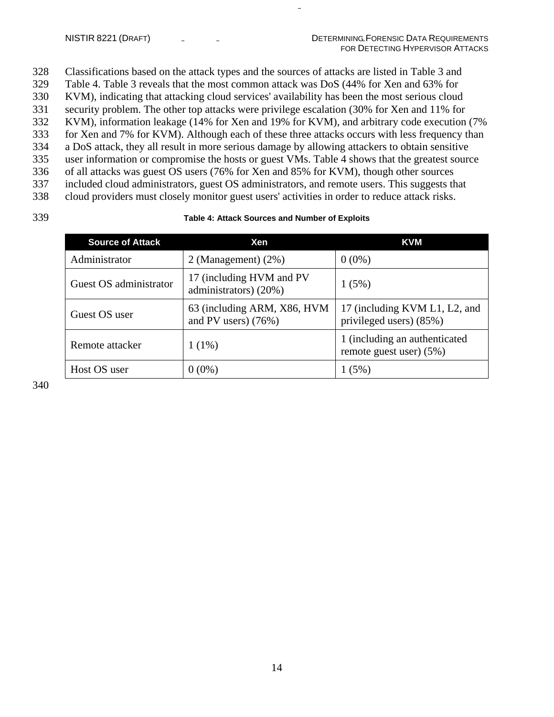Classifications based on the attack types and the sources of attacks are listed in Table 3 and Table 4. Table 3 reveals that the most common attack was DoS (44% for Xen and 63% for KVM), indicating that attacking cloud services' availability has been the most serious cloud security problem. The other top attacks were privilege escalation (30% for Xen and 11% for KVM), information leakage (14% for Xen and 19% for KVM), and arbitrary code execution (7% for Xen and 7% for KVM). Although each of these three attacks occurs with less frequency than a DoS attack, they all result in more serious damage by allowing attackers to obtain sensitive user information or compromise the hosts or guest VMs. Table 4 shows that the greatest source of all attacks was guest OS users (76% for Xen and 85% for KVM), though other sources included cloud administrators, guest OS administrators, and remote users. This suggests that cloud providers must closely monitor guest users' activities in order to reduce attack risks.

#### 339 **Table 4: Attack Sources and Number of Exploits**

| <b>Source of Attack</b> | Xen                                                  | <b>KVM</b>                                                  |
|-------------------------|------------------------------------------------------|-------------------------------------------------------------|
| Administrator           | 2 (Management) $(2\%)$                               | $0(0\%)$                                                    |
| Guest OS administrator  | 17 (including HVM and PV<br>administrators) (20%)    | 1(5%)                                                       |
| Guest OS user           | 63 (including ARM, X86, HVM<br>and PV users) $(76%)$ | 17 (including KVM L1, L2, and<br>privileged users) (85%)    |
| Remote attacker         | $1(1\%)$                                             | 1 (including an authenticated<br>remote guest user) $(5\%)$ |
| Host OS user            | $0(0\%)$                                             | 1(5%)                                                       |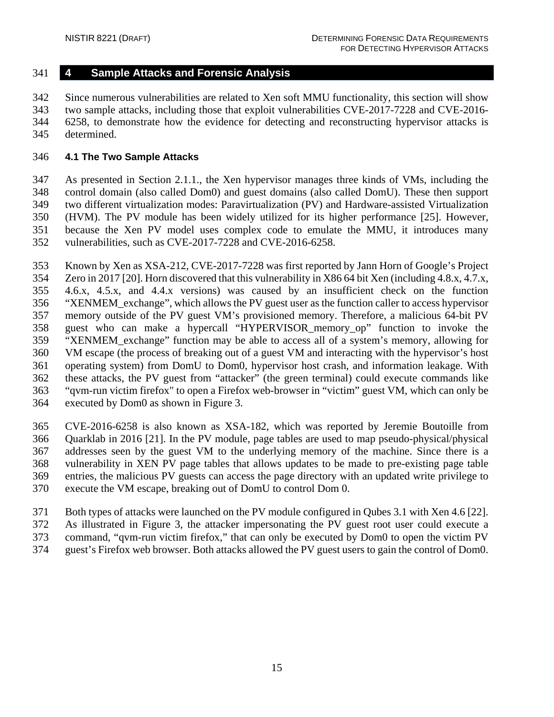# <span id="page-17-0"></span>**4 Sample Attacks and Forensic Analysis**

 Since numerous vulnerabilities are related to Xen soft MMU functionality, this section will show two sample attacks, including those that exploit vulnerabilities CVE-2017-7228 and CVE-2016- 6258, to demonstrate how the evidence for detecting and reconstructing hypervisor attacks is determined.

# <span id="page-17-1"></span>**4.1 The Two Sample Attacks**

 As presented in Section 2.1.1., the Xen hypervisor manages three kinds of VMs, including the control domain (also called Dom0) and guest domains (also called DomU). These then support two different virtualization modes: Paravirtualization (PV) and Hardware-assisted Virtualization (HVM). The PV module has been widely utilized for its higher performance [25]. However, because the Xen PV model uses complex code to emulate the MMU, it introduces many vulnerabilities, such as CVE-2017-7228 and CVE-2016-6258.

Known by Xen as XSA-212, CVE-2017-7228 was first reported by Jann Horn of Google's Project

 Zero in 2017 [20]. Horn discovered that this vulnerability in X86 64 bit Xen (including 4.8.x, 4.7.x, 4.6.x, 4.5.x, and 4.4.x versions) was caused by an insufficient check on the function "XENMEM\_exchange", which allows the PV guest user as the function caller to access hypervisor memory outside of the PV guest VM's provisioned memory. Therefore, a malicious 64-bit PV guest who can make a hypercall "HYPERVISOR\_memory\_op" function to invoke the "XENMEM\_exchange" function may be able to access all of a system's memory, allowing for VM escape (the process of breaking out of a guest VM and interacting with the hypervisor's host operating system) from DomU to Dom0, hypervisor host crash, and information leakage. With these attacks, the PV guest from "attacker" (the green terminal) could execute commands like "qvm-run victim firefox" to open a Firefox web-browser in "victim" guest VM, which can only be executed by Dom0 as shown in Figure 3.

 CVE-2016-6258 is also known as XSA-182, which was reported by Jeremie Boutoille from Quarklab in 2016 [21]. In the PV module, page tables are used to map pseudo-physical/physical addresses seen by the guest VM to the underlying memory of the machine. Since there is a vulnerability in XEN PV page tables that allows updates to be made to pre-existing page table entries, the malicious PV guests can access the page directory with an updated write privilege to execute the VM escape, breaking out of DomU to control Dom 0.

Both types of attacks were launched on the PV module configured in Qubes 3.1 with Xen 4.6 [22].

As illustrated in Figure 3, the attacker impersonating the PV guest root user could execute a

 command, "qvm-run victim firefox," that can only be executed by Dom0 to open the victim PV guest's Firefox web browser. Both attacks allowed the PV guest users to gain the control of Dom0.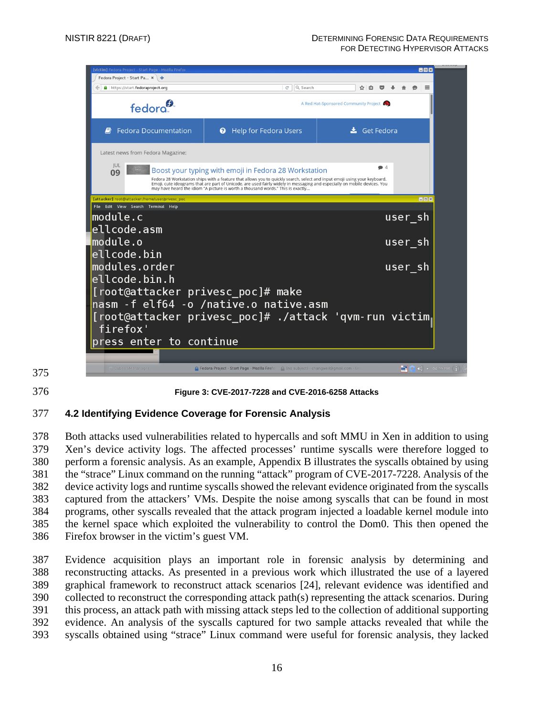

#### **Figure 3: CVE-2017-7228 and CVE-2016-6258 Attacks**

### <span id="page-18-0"></span>**4.2 Identifying Evidence Coverage for Forensic Analysis**

 Both attacks used vulnerabilities related to hypercalls and soft MMU in Xen in addition to using Xen's device activity logs. The affected processes' runtime syscalls were therefore logged to perform a forensic analysis. As an example, Appendix B illustrates the syscalls obtained by using the "strace" Linux command on the running "attack" program of CVE-2017-7228. Analysis of the device activity logs and runtime syscalls showed the relevant evidence originated from the syscalls captured from the attackers' VMs. Despite the noise among syscalls that can be found in most programs, other syscalls revealed that the attack program injected a loadable kernel module into the kernel space which exploited the vulnerability to control the Dom0. This then opened the Firefox browser in the victim's guest VM.

 Evidence acquisition plays an important role in forensic analysis by determining and reconstructing attacks. As presented in a previous work which illustrated the use of a layered graphical framework to reconstruct attack scenarios [24], relevant evidence was identified and collected to reconstruct the corresponding attack path(s) representing the attack scenarios. During this process, an attack path with missing attack steps led to the collection of additional supporting evidence. An analysis of the syscalls captured for two sample attacks revealed that while the syscalls obtained using "strace" Linux command were useful for forensic analysis, they lacked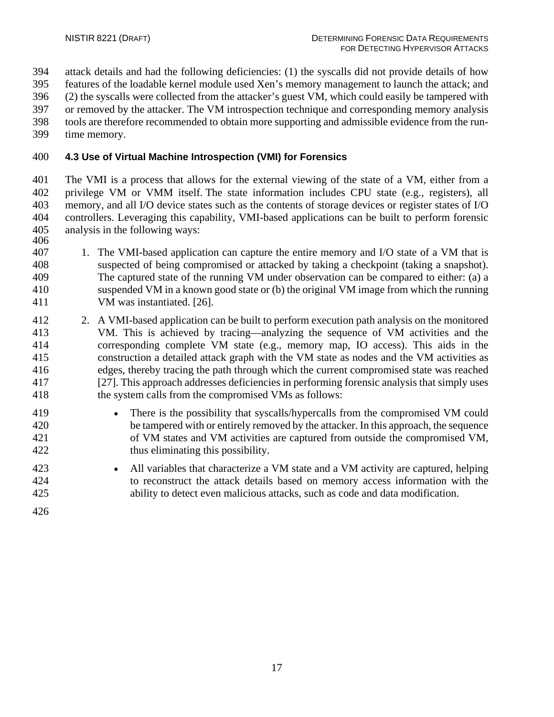- attack details and had the following deficiencies: (1) the syscalls did not provide details of how
- features of the loadable kernel module used Xen's memory management to launch the attack; and
- (2) the syscalls were collected from the attacker's guest VM, which could easily be tampered with
- or removed by the attacker. The VM introspection technique and corresponding memory analysis
- tools are therefore recommended to obtain more supporting and admissible evidence from the run-
- time memory.

# <span id="page-19-0"></span>**4.3 Use of Virtual Machine Introspection (VMI) for Forensics**

 The VMI is a process that allows for the external viewing of the state of a VM, either from a privilege VM or VMM itself. The state information includes CPU state (e.g., registers), all memory, and all I/O device states such as the contents of storage devices or register states of I/O controllers. Leveraging this capability, VMI-based applications can be built to perform forensic analysis in the following ways: 

- 1. The VMI-based application can capture the entire memory and I/O state of a VM that is suspected of being compromised or attacked by taking a checkpoint (taking a snapshot). The captured state of the running VM under observation can be compared to either: (a) a suspended VM in a known good state or (b) the original VM image from which the running VM was instantiated. [26].
- 2. A VMI-based application can be built to perform execution path analysis on the monitored VM. This is achieved by tracing—analyzing the sequence of VM activities and the corresponding complete VM state (e.g., memory map, IO access). This aids in the construction a detailed attack graph with the VM state as nodes and the VM activities as edges, thereby tracing the path through which the current compromised state was reached [27]. This approach addresses deficiencies in performing forensic analysis that simply uses the system calls from the compromised VMs as follows:
- There is the possibility that syscalls/hypercalls from the compromised VM could be tampered with or entirely removed by the attacker. In this approach, the sequence of VM states and VM activities are captured from outside the compromised VM, thus eliminating this possibility.
- All variables that characterize a VM state and a VM activity are captured, helping to reconstruct the attack details based on memory access information with the ability to detect even malicious attacks, such as code and data modification.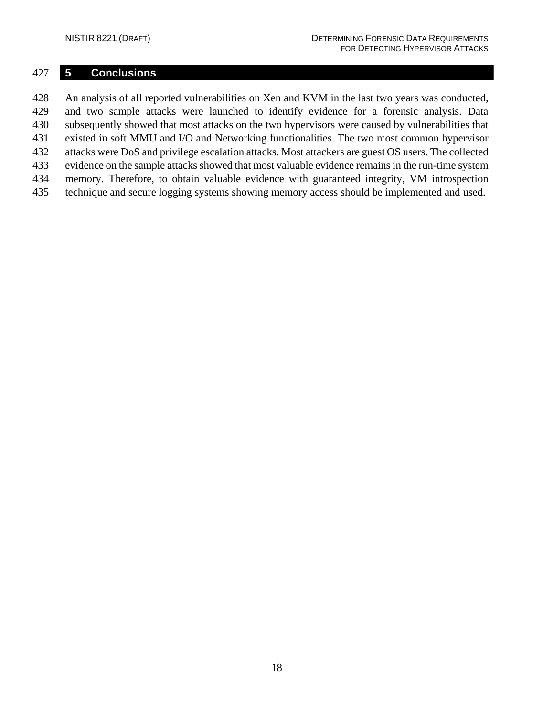# <span id="page-20-0"></span>**5 Conclusions**

 An analysis of all reported vulnerabilities on Xen and KVM in the last two years was conducted, and two sample attacks were launched to identify evidence for a forensic analysis. Data subsequently showed that most attacks on the two hypervisors were caused by vulnerabilities that existed in soft MMU and I/O and Networking functionalities. The two most common hypervisor attacks were DoS and privilege escalation attacks. Most attackers are guest OS users. The collected evidence on the sample attacks showed that most valuable evidence remains in the run-time system memory. Therefore, to obtain valuable evidence with guaranteed integrity, VM introspection technique and secure logging systems showing memory access should be implemented and used.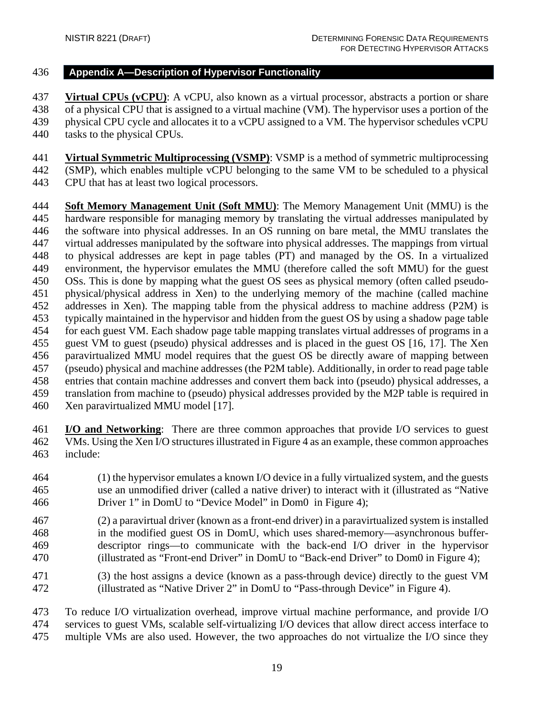### <span id="page-21-0"></span>**Appendix A—Description of Hypervisor Functionality**

 **Virtual CPUs (vCPU)**: A vCPU, also known as a virtual processor, abstracts a portion or share of a physical CPU that is assigned to a virtual machine (VM). The hypervisor uses a portion of the physical CPU cycle and allocates it to a vCPU assigned to a VM. The hypervisor schedules vCPU tasks to the physical CPUs.

 **Virtual Symmetric Multiprocessing (VSMP)**: VSMP is a method of symmetric multiprocessing (SMP), which enables multiple vCPU belonging to the same VM to be scheduled to a physical CPU that has at least two logical processors.

 **Soft Memory Management Unit (Soft MMU)**: The Memory Management Unit (MMU) is the hardware responsible for managing memory by translating the virtual addresses manipulated by the software into physical addresses. In an OS running on bare metal, the MMU translates the virtual addresses manipulated by the software into physical addresses. The mappings from virtual to physical addresses are kept in page tables (PT) and managed by the OS. In a virtualized environment, the hypervisor emulates the MMU (therefore called the soft MMU) for the guest OSs. This is done by mapping what the guest OS sees as physical memory (often called pseudo- physical/physical address in Xen) to the underlying memory of the machine (called machine addresses in Xen). The mapping table from the physical address to machine address (P2M) is typically maintained in the hypervisor and hidden from the guest OS by using a shadow page table for each guest VM. Each shadow page table mapping translates virtual addresses of programs in a guest VM to guest (pseudo) physical addresses and is placed in the guest OS [16, 17]. The Xen paravirtualized MMU model requires that the guest OS be directly aware of mapping between (pseudo) physical and machine addresses (the P2M table). Additionally, in order to read page table entries that contain machine addresses and convert them back into (pseudo) physical addresses, a translation from machine to (pseudo) physical addresses provided by the M2P table is required in Xen paravirtualized MMU model [17].

 **I/O and Networking**: There are three common approaches that provide I/O services to guest VMs. Using the Xen I/O structures illustrated in Figure 4 as an example, these common approaches include:

- (1) the hypervisor emulates a known I/O device in a fully virtualized system, and the guests use an unmodified driver (called a native driver) to interact with it (illustrated as "Native Driver 1" in DomU to "Device Model" in Dom0 in Figure 4);
- (2) a paravirtual driver (known as a front-end driver) in a paravirtualized system is installed in the modified guest OS in DomU, which uses shared-memory—asynchronous buffer- descriptor rings—to communicate with the back-end I/O driver in the hypervisor (illustrated as "Front-end Driver" in DomU to "Back-end Driver" to Dom0 in Figure 4);
- (3) the host assigns a device (known as a pass-through device) directly to the guest VM (illustrated as "Native Driver 2" in DomU to "Pass-through Device" in Figure 4).

 To reduce I/O virtualization overhead, improve virtual machine performance, and provide I/O services to guest VMs, scalable self-virtualizing I/O devices that allow direct access interface to multiple VMs are also used. However, the two approaches do not virtualize the I/O since they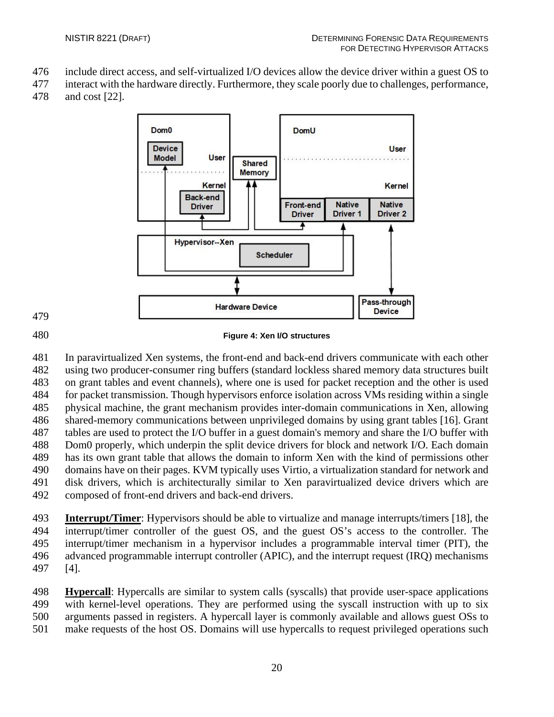- include direct access, and self-virtualized I/O devices allow the device driver within a guest OS to
- interact with the hardware directly. Furthermore, they scale poorly due to challenges, performance, and cost [22].



**Figure 4: Xen I/O structures**

 In paravirtualized Xen systems, the front-end and back-end drivers communicate with each other using two producer-consumer ring buffers (standard lockless shared memory data structures built on grant tables and event channels), where one is used for packet reception and the other is used for packet transmission. Though hypervisors enforce isolation across VMs residing within a single physical machine, the grant mechanism provides inter-domain communications in Xen, allowing shared-memory communications between unprivileged domains by using grant tables [16]. Grant tables are used to protect the I/O buffer in a guest domain's memory and share the I/O buffer with Dom0 properly, which underpin the split device drivers for block and network I/O. Each domain has its own grant table that allows the domain to inform Xen with the kind of permissions other domains have on their pages. KVM typically uses Virtio, a virtualization standard for network and disk drivers, which is architecturally similar to Xen paravirtualized device drivers which are composed of front-end drivers and back-end drivers.

 **Interrupt/Timer**: Hypervisors should be able to virtualize and manage interrupts/timers [18], the interrupt/timer controller of the guest OS, and the guest OS's access to the controller. The interrupt/timer mechanism in a hypervisor includes a programmable interval timer (PIT), the advanced programmable interrupt controller (APIC), and the interrupt request (IRQ) mechanisms [4].

 **Hypercall**: Hypercalls are similar to system calls (syscalls) that provide user-space applications with kernel-level operations. They are performed using the syscall instruction with up to six arguments passed in registers. A hypercall layer is commonly available and allows guest OSs to make requests of the host OS. Domains will use hypercalls to request privileged operations such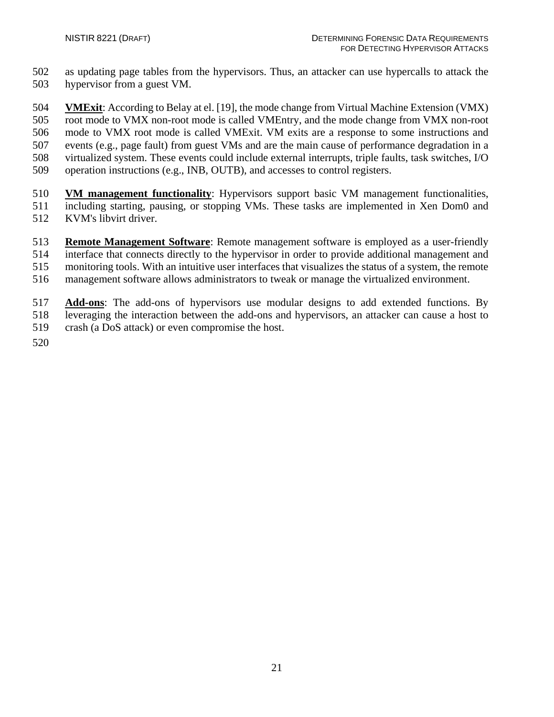as updating page tables from the hypervisors. Thus, an attacker can use hypercalls to attack the hypervisor from a guest VM.

 **VMExit**: According to Belay at el. [19], the mode change from Virtual Machine Extension (VMX) root mode to VMX non-root mode is called VMEntry, and the mode change from VMX non-root mode to VMX root mode is called VMExit. VM exits are a response to some instructions and events (e.g., page fault) from guest VMs and are the main cause of performance degradation in a virtualized system. These events could include external interrupts, triple faults, task switches, I/O operation instructions (e.g., INB, OUTB), and accesses to control registers.

- **VM management functionality**: Hypervisors support basic VM management functionalities, including starting, pausing, or stopping VMs. These tasks are implemented in Xen Dom0 and KVM's libvirt driver.
- **Remote Management Software**: Remote management software is employed as a user-friendly interface that connects directly to the hypervisor in order to provide additional management and monitoring tools. With an intuitive user interfaces that visualizes the status of a system, the remote
- management software allows administrators to tweak or manage the virtualized environment.
- **Add-ons**: The add-ons of hypervisors use modular designs to add extended functions. By leveraging the interaction between the add-ons and hypervisors, an attacker can cause a host to 519 crash (a DoS attack) or even compromise the host.
-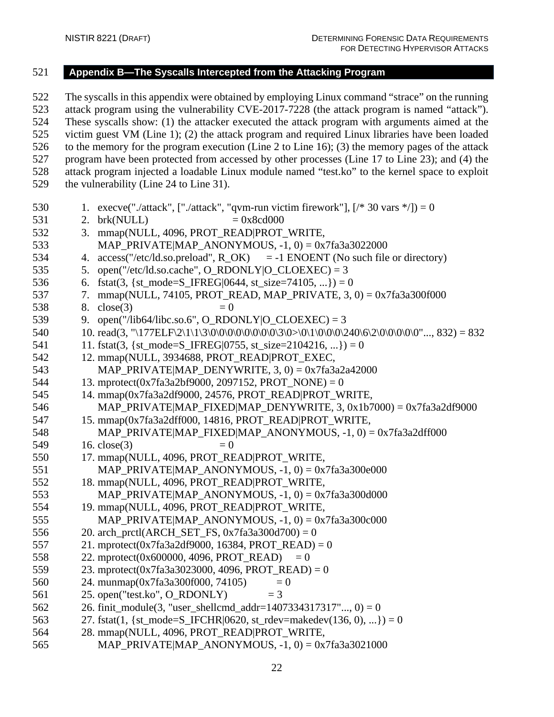# <span id="page-24-0"></span>521 **Appendix B—The Syscalls Intercepted from the Attacking Program**

522 The syscalls in this appendix were obtained by employing Linux command "strace" on the running 523 attack program using the vulnerability CVE-2017-7228 (the attack program is named "attack"). 524 These syscalls show: (1) the attacker executed the attack program with arguments aimed at the 525 victim guest VM (Line 1); (2) the attack program and required Linux libraries have been loaded 526 to the memory for the program execution (Line 2 to Line 16); (3) the memory pages of the attack 527 program have been protected from accessed by other processes (Line 17 to Line 23); and (4) the 528 attack program injected a loadable Linux module named "test.ko" to the kernel space to exploit 529 the vulnerability (Line 24 to Line 31). 530 1. execve("./attack", ["./attack", "qvm-run victim firework"],  $[/* 30 \text{ vars } */$ ]) = 0 531 2. brk(NULL)  $= 0x8cd000$ 532 3. mmap(NULL, 4096, PROT\_READ|PROT\_WRITE, 533 MAP\_PRIVATE|MAP\_ANONYMOUS, -1, 0) = 0x7fa3a3022000 534 4. access("/etc/ld.so.preload", R\_OK) = -1 ENOENT (No such file or directory) 535 5. open("/etc/ld.so.cache",  $O$ \_RDONLY| $O$ \_CLOEXEC) = 3 536 6. fstat(3, {st\_mode=S\_IFREG|0644, st\_size=74105, ...}) = 0 537 7. mmap(NULL, 74105, PROT\_READ, MAP\_PRIVATE, 3, 0) = 0x7fa3a300f000 538 8.  $close(3) = 0$ 539 9. open("/lib64/libc.so.6", O\_RDONLY|O\_CLOEXEC) = 3 540 10. read(3, "\177ELF\2\1\1\3\0\0\0\0\0\0\0\0\0\0\3\0>\0\1\0\0\0\240\6\2\0\0\0\0\0\0"..., 832) = 832 541 11. fstat(3, {st\_mode=S\_IFREG|0755, st\_size=2104216, ...}) = 0 542 12. mmap(NULL, 3934688, PROT\_READ|PROT\_EXEC, 543 MAP PRIVATE|MAP DENYWRITE,  $3$ ,  $0$ ) = 0x7fa3a2a42000 544 13. mprotect(0x7fa3a2bf9000, 2097152, PROT\_NONE) = 0 545 14. mmap(0x7fa3a2df9000, 24576, PROT\_READ|PROT\_WRITE, 546 MAP\_PRIVATE|MAP\_FIXED|MAP\_DENYWRITE, 3, 0x1b7000) = 0x7fa3a2df9000 547 15. mmap(0x7fa3a2dff000, 14816, PROT\_READ|PROT\_WRITE, 548 MAP\_PRIVATE|MAP\_FIXED|MAP\_ANONYMOUS, -1, 0) = 0x7fa3a2dff000 549 16. close(3)  $= 0$ 550 17. mmap(NULL, 4096, PROT\_READ|PROT\_WRITE, 551 MAP\_PRIVATE|MAP\_ANONYMOUS,  $-1$ , 0) = 0x7fa3a300e000 552 18. mmap(NULL, 4096, PROT\_READ|PROT\_WRITE, 553 MAP\_PRIVATE|MAP\_ANONYMOUS,  $-1$ , 0) = 0x7fa3a300d000 554 19. mmap(NULL, 4096, PROT\_READ|PROT\_WRITE, 555 MAP\_PRIVATE|MAP\_ANONYMOUS,  $-1$ , 0) = 0x7fa3a300c000 556 20. arch\_prctl(ARCH\_SET\_FS,  $0x7fa3a300d700 = 0$ 557 21. mprotect(0x7fa3a2df9000, 16384, PROT\_READ) = 0 558 22. mprotect(0x600000, 4096, PROT\_READ) = 0 559 23. mprotect(0x7fa3a3023000, 4096, PROT\_READ) = 0 560 24. munmap(0x7fa3a300f000, 74105) = 0 561 25. open("test.ko", O\_RDONLY) = 3 562 26. finit\_module(3, "user\_shellcmd\_addr=1407334317317"..., 0) = 0 563 27. fstat(1, {st\_mode=S\_IFCHR|0620, st\_rdev=makedev(136, 0), ...}) = 0 564 28. mmap(NULL, 4096, PROT\_READ|PROT\_WRITE, 565 MAP\_PRIVATE|MAP\_ANONYMOUS, -1, 0) = 0x7fa3a3021000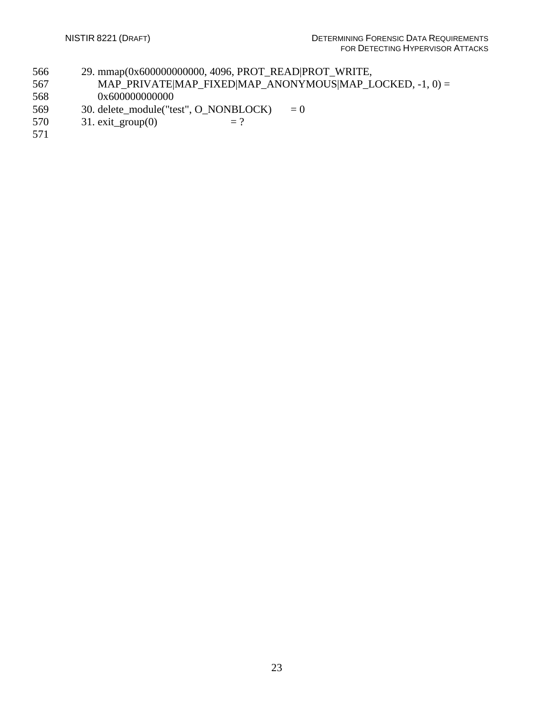- 566 29. mmap(0x600000000000, 4096, PROT\_READ|PROT\_WRITE,
- 567 MAP\_PRIVATE|MAP\_FIXED|MAP\_ANONYMOUS|MAP\_LOCKED, -1, 0) = 568 0x600000000000
- 569 30. delete\_module("test",  $O_NONBLOCK$ ) = 0<br>570 31. exit\_group(0) = ?
- 31. exit\_group(0)  $= ?$
- 571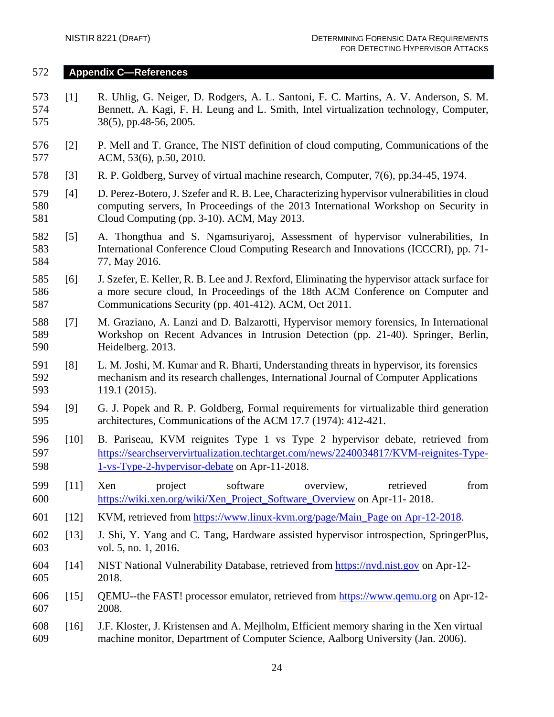#### <span id="page-26-0"></span>572 **Appendix C—References**

- 573 [1] R. Uhlig, G. Neiger, D. Rodgers, A. L. Santoni, F. C. Martins, A. V. Anderson, S. M. 574 Bennett, A. Kagi, F. H. Leung and L. Smith, Intel virtualization technology, Computer, 575 38(5), pp.48-56, 2005.
- 576 [2] P. Mell and T. Grance, The NIST definition of cloud computing, Communications of the 577 ACM, 53(6), p.50, 2010.
- 578 [3] R. P. Goldberg, Survey of virtual machine research, Computer, 7(6), pp.34-45, 1974.
- 579 [4] D. Perez-Botero, J. Szefer and R. B. Lee, Characterizing hypervisor vulnerabilities in cloud 580 computing servers, In Proceedings of the 2013 International Workshop on Security in 581 Cloud Computing (pp. 3-10). ACM, May 2013.
- 582 [5] A. Thongthua and S. Ngamsuriyaroj, Assessment of hypervisor vulnerabilities, In 583 International Conference Cloud Computing Research and Innovations (ICCCRI), pp. 71- 584 77, May 2016.
- 585 [6] J. Szefer, E. Keller, R. B. Lee and J. Rexford, Eliminating the hypervisor attack surface for 586 a more secure cloud, In Proceedings of the 18th ACM Conference on Computer and 587 Communications Security (pp. 401-412). ACM, Oct 2011.
- 588 [7] M. Graziano, A. Lanzi and D. Balzarotti, Hypervisor memory forensics, In International 589 Workshop on Recent Advances in Intrusion Detection (pp. 21-40). Springer, Berlin, 590 Heidelberg. 2013.
- 591 [8] L. M. Joshi, M. Kumar and R. Bharti, Understanding threats in hypervisor, its forensics 592 mechanism and its research challenges, International Journal of Computer Applications 593 119.1 (2015).
- 594 [9] G. J. Popek and R. P. Goldberg, Formal requirements for virtualizable third generation 595 architectures, Communications of the ACM 17.7 (1974): 412-421.
- 596 [10] B. Pariseau, KVM reignites Type 1 vs Type 2 hypervisor debate, retrieved from 597 [https://searchservervirtualization.techtarget.com/news/2240034817/KVM-reignites-Type-](https://searchservervirtualization.techtarget.com/news/2240034817/KVM-reignites-Type-1-vs-Type-2-hypervisor-debate)598 [1-vs-Type-2-hypervisor-debate](https://searchservervirtualization.techtarget.com/news/2240034817/KVM-reignites-Type-1-vs-Type-2-hypervisor-debate) on Apr-11-2018.
- 599 [11] Xen project software overview, retrieved from 600 [https://wiki.xen.org/wiki/Xen\\_Project\\_Software\\_Overview](https://wiki.xen.org/wiki/Xen_Project_Software_Overview) on Apr-11- 2018.
- 601 [12] KVM, retrieved from [https://www.linux-kvm.org/page/Main\\_Page on Apr-12-2018.](https://www.linux-kvm.org/page/Main_Page%20on%20Apr-12-2018)
- 602 [13] J. Shi, Y. Yang and C. Tang, Hardware assisted hypervisor introspection, SpringerPlus, 603 vol. 5, no. 1, 2016.
- 604 [14] NIST National Vulnerability Database, retrieved from [https://nvd.nist.gov](https://nvd.nist.gov/) on Apr-12- 605 2018.
- 606 [15] QEMU--the FAST! processor emulator, retrieved from [https://www.qemu.org](https://www.qemu.org/) on Apr-12- 607 2008.
- 608 [16] J.F. Kloster, J. Kristensen and A. Mejlholm, Efficient memory sharing in the Xen virtual 609 machine monitor, Department of Computer Science, Aalborg University (Jan. 2006).